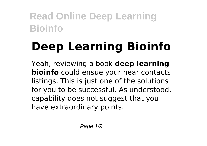# **Deep Learning Bioinfo**

Yeah, reviewing a book **deep learning bioinfo** could ensue your near contacts listings. This is just one of the solutions for you to be successful. As understood, capability does not suggest that you have extraordinary points.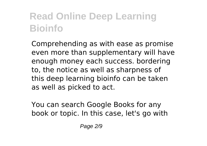Comprehending as with ease as promise even more than supplementary will have enough money each success. bordering to, the notice as well as sharpness of this deep learning bioinfo can be taken as well as picked to act.

You can search Google Books for any book or topic. In this case, let's go with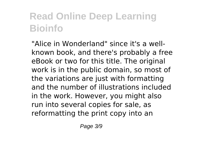"Alice in Wonderland" since it's a wellknown book, and there's probably a free eBook or two for this title. The original work is in the public domain, so most of the variations are just with formatting and the number of illustrations included in the work. However, you might also run into several copies for sale, as reformatting the print copy into an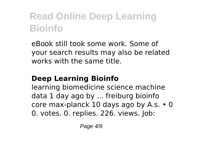eBook still took some work. Some of your search results may also be related works with the same title.

#### **Deep Learning Bioinfo**

learning biomedicine science machine data 1 day ago by ... freiburg bioinfo core max-planck 10 days ago by A.s. • 0 0. votes. 0. replies. 226. views. Job: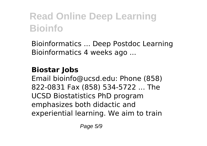Bioinformatics ... Deep Postdoc Learning Bioinformatics 4 weeks ago ...

#### **Biostar Jobs**

Email bioinfo@ucsd.edu: Phone (858) 822-0831 Fax (858) 534-5722 ... The UCSD Biostatistics PhD program emphasizes both didactic and experiential learning. We aim to train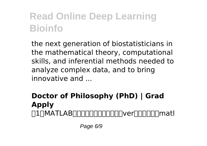the next generation of biostatisticians in the mathematical theory, computational skills, and inferential methods needed to analyze complex data, and to bring  $innovative and$ 

#### **Doctor of Philosophy (PhD) | Grad Apply**  $\Box$ ∏MATLAB∏∏∏∏∏∏∏∏∏∏∏matl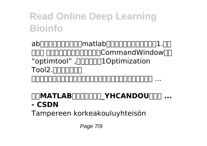ab $\Box$ 工具箱 用途:优化问题调用命令:在CommandWindow输入 "optimtool", <sub>J</sub>□□□□□Dptimization Tool 2.神经网络工具箱 用途:数据拟合、模式识别和分类、聚类、动态时间序列规划调用 ...

#### **MATLABRING YHCANDOURG ... - CSDN**

Tampereen korkeakouluyhteisön

Page 7/9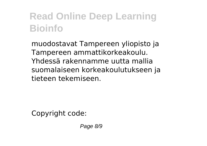muodostavat Tampereen yliopisto ja Tampereen ammattikorkeakoulu. Yhdessä rakennamme uutta mallia suomalaiseen korkeakoulutukseen ja tieteen tekemiseen.

Copyright code:

Page 8/9